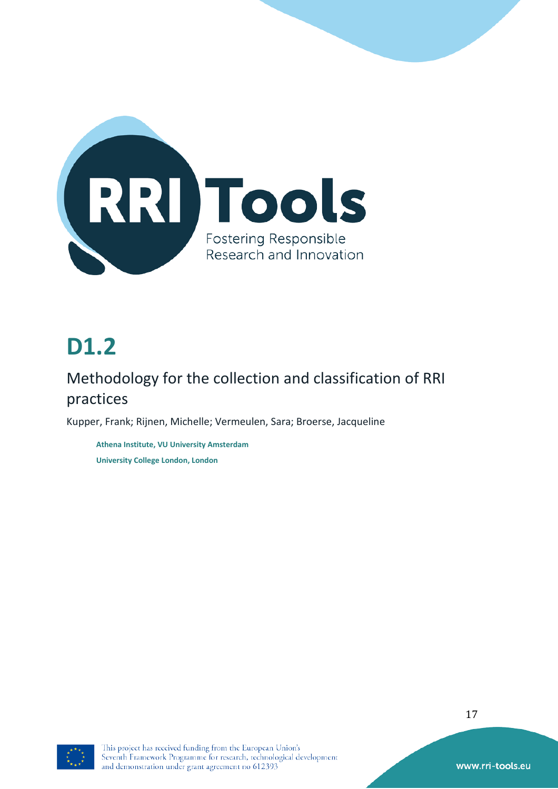

# **D1.2**

## Methodology for the collection and classification of RRI practices

Kupper, Frank; Rijnen, Michelle; Vermeulen, Sara; Broerse, Jacqueline

**Athena Institute, VU University Amsterdam University College London, London**



This project has received funding from the European Union's Seventh Framework Programme for research, technological development and demonstration under grant agreement no 612393

17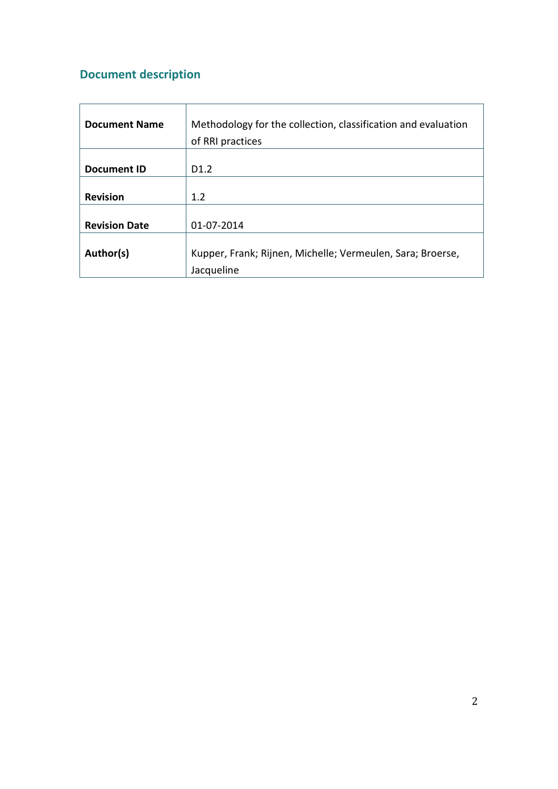## **Document description**

<span id="page-1-0"></span>

| <b>Document Name</b> | Methodology for the collection, classification and evaluation |
|----------------------|---------------------------------------------------------------|
|                      | of RRI practices                                              |
|                      |                                                               |
| Document ID          | D <sub>1.2</sub>                                              |
|                      |                                                               |
| <b>Revision</b>      | 1.2                                                           |
|                      |                                                               |
| <b>Revision Date</b> | 01-07-2014                                                    |
|                      |                                                               |
| Author(s)            | Kupper, Frank; Rijnen, Michelle; Vermeulen, Sara; Broerse,    |
|                      | Jacqueline                                                    |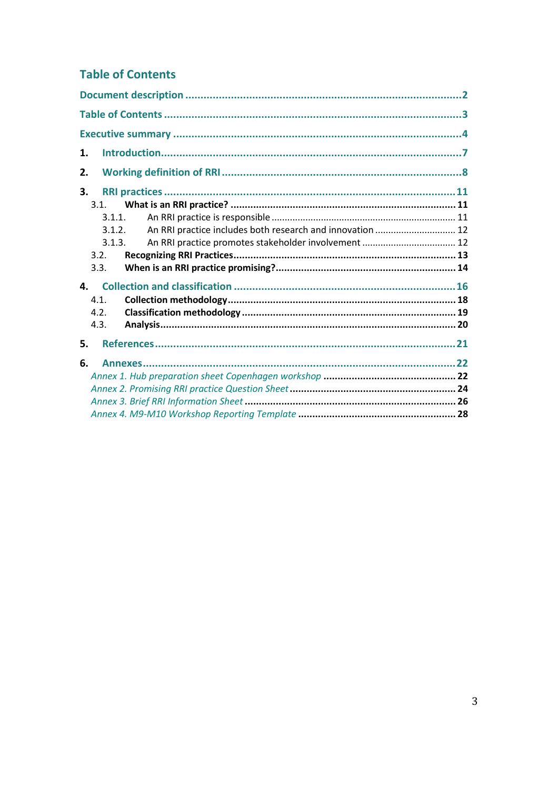## **Table of Contents**

| 1.                                                                  |  |
|---------------------------------------------------------------------|--|
| 2.                                                                  |  |
| 3.                                                                  |  |
| 3.1.                                                                |  |
| 3.1.1.                                                              |  |
| An RRI practice includes both research and innovation  12<br>3.1.2. |  |
| 3.1.3.                                                              |  |
| 3.2.                                                                |  |
| 3.3.                                                                |  |
| 4.                                                                  |  |
| 4.1.                                                                |  |
| 4.2.                                                                |  |
| 4.3.                                                                |  |
| 5.                                                                  |  |
| 6.                                                                  |  |
|                                                                     |  |
|                                                                     |  |
|                                                                     |  |
|                                                                     |  |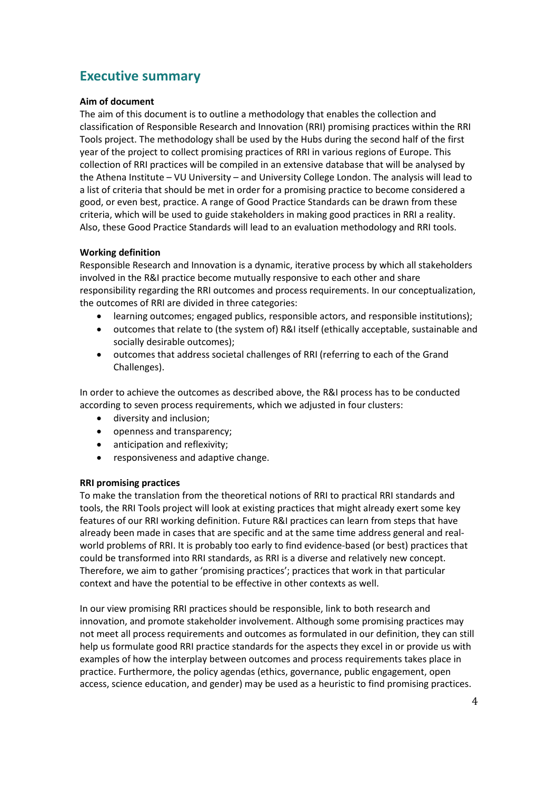## **Executive summary**

## **Aim of document**

The aim of this document is to outline a methodology that enables the collection and classification of Responsible Research and Innovation (RRI) promising practices within the RRI Tools project. The methodology shall be used by the Hubs during the second half of the first year of the project to collect promising practices of RRI in various regions of Europe. This collection of RRI practices will be compiled in an extensive database that will be analysed by the Athena Institute – VU University – and University College London. The analysis will lead to a list of criteria that should be met in order for a promising practice to become considered a good, or even best, practice. A range of Good Practice Standards can be drawn from these criteria, which will be used to guide stakeholders in making good practices in RRI a reality. Also, these Good Practice Standards will lead to an evaluation methodology and RRI tools.

## **Working definition**

Responsible Research and Innovation is a dynamic, iterative process by which all stakeholders involved in the R&I practice become mutually responsive to each other and share responsibility regarding the RRI outcomes and process requirements. In our conceptualization, the outcomes of RRI are divided in three categories:

- learning outcomes; engaged publics, responsible actors, and responsible institutions);
- outcomes that relate to (the system of) R&I itself (ethically acceptable, sustainable and socially desirable outcomes);
- outcomes that address societal challenges of RRI (referring to each of the Grand Challenges).

In order to achieve the outcomes as described above, the R&I process has to be conducted according to seven process requirements, which we adjusted in four clusters:

- diversity and inclusion;
- openness and transparency;
- anticipation and reflexivity;
- responsiveness and adaptive change.

## **RRI promising practices**

To make the translation from the theoretical notions of RRI to practical RRI standards and tools, the RRI Tools project will look at existing practices that might already exert some key features of our RRI working definition. Future R&I practices can learn from steps that have already been made in cases that are specific and at the same time address general and realworld problems of RRI. It is probably too early to find evidence-based (or best) practices that could be transformed into RRI standards, as RRI is a diverse and relatively new concept. Therefore, we aim to gather 'promising practices'; practices that work in that particular context and have the potential to be effective in other contexts as well.

In our view promising RRI practices should be responsible, link to both research and innovation, and promote stakeholder involvement. Although some promising practices may not meet all process requirements and outcomes as formulated in our definition, they can still help us formulate good RRI practice standards for the aspects they excel in or provide us with examples of how the interplay between outcomes and process requirements takes place in practice. Furthermore, the policy agendas (ethics, governance, public engagement, open access, science education, and gender) may be used as a heuristic to find promising practices.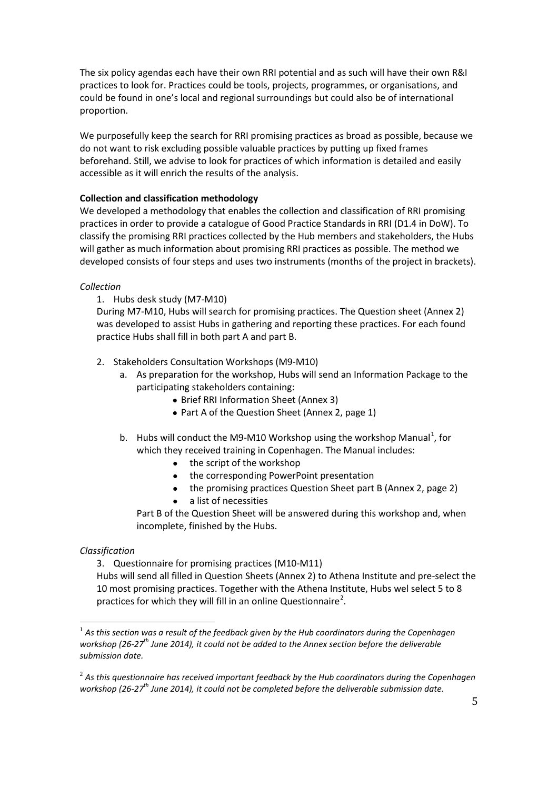The six policy agendas each have their own RRI potential and as such will have their own R&I practices to look for. Practices could be tools, projects, programmes, or organisations, and could be found in one's local and regional surroundings but could also be of international proportion.

We purposefully keep the search for RRI promising practices as broad as possible, because we do not want to risk excluding possible valuable practices by putting up fixed frames beforehand. Still, we advise to look for practices of which information is detailed and easily accessible as it will enrich the results of the analysis.

## **Collection and classification methodology**

We developed a methodology that enables the collection and classification of RRI promising practices in order to provide a catalogue of Good Practice Standards in RRI (D1.4 in DoW). To classify the promising RRI practices collected by the Hub members and stakeholders, the Hubs will gather as much information about promising RRI practices as possible. The method we developed consists of four steps and uses two instruments (months of the project in brackets).

## *Collection*

## 1. Hubs desk study (M7-M10)

During M7-M10, Hubs will search for promising practices. The Question sheet (Annex 2) was developed to assist Hubs in gathering and reporting these practices. For each found practice Hubs shall fill in both part A and part B.

## 2. Stakeholders Consultation Workshops (M9-M10)

- a. As preparation for the workshop, Hubs will send an Information Package to the participating stakeholders containing:
	- Brief RRI Information Sheet (Annex 3)
	- Part A of the Question Sheet (Annex 2, page 1)
- b. Hubs will conduct the M9-M[1](#page-1-0)0 Workshop using the workshop Manual<sup>1</sup>, for which they received training in Copenhagen. The Manual includes:
	- the script of the workshop
	- the corresponding PowerPoint presentation
	- the promising practices Question Sheet part B (Annex 2, page 2)
		- a list of necessities

Part B of the Question Sheet will be answered during this workshop and, when incomplete, finished by the Hubs.

## *Classification*

3. Questionnaire for promising practices (M10-M11)

Hubs will send all filled in Question Sheets (Annex 2) to Athena Institute and pre-select the 10 most promising practices. Together with the Athena Institute, Hubs wel select 5 to 8 practices for which they will fill in an online Questionnaire<sup>[2](#page-4-0)</sup>.

<sup>&</sup>lt;sup>1</sup> As this section was a result of the feedback given by the Hub coordinators during the Copenhagen *workshop (26-27th June 2014), it could not be added to the Annex section before the deliverable submission date.* 

<span id="page-4-1"></span><span id="page-4-0"></span><sup>2</sup> *As this questionnaire has received important feedback by the Hub coordinators during the Copenhagen workshop (26-27th June 2014), it could not be completed before the deliverable submission date.*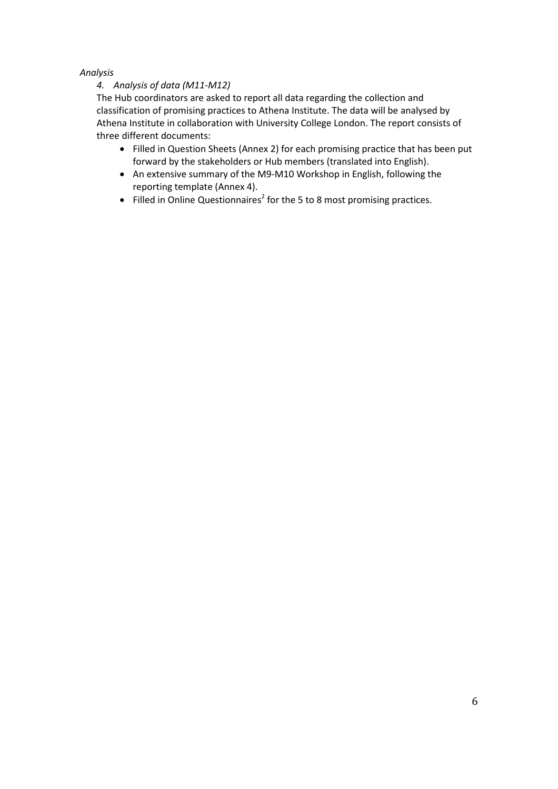## *Analysis*

## *4. Analysis of data (M11-M12)*

The Hub coordinators are asked to report all data regarding the collection and classification of promising practices to Athena Institute. The data will be analysed by Athena Institute in collaboration with University College London. The report consists of three different documents:

- Filled in Question Sheets (Annex 2) for each promising practice that has been put forward by the stakeholders or Hub members (translated into English).
- An extensive summary of the M9-M10 Workshop in English, following the reporting template (Annex 4).
- Filled in Online Questionnaires<sup>2</sup> for the 5 to 8 most promising practices.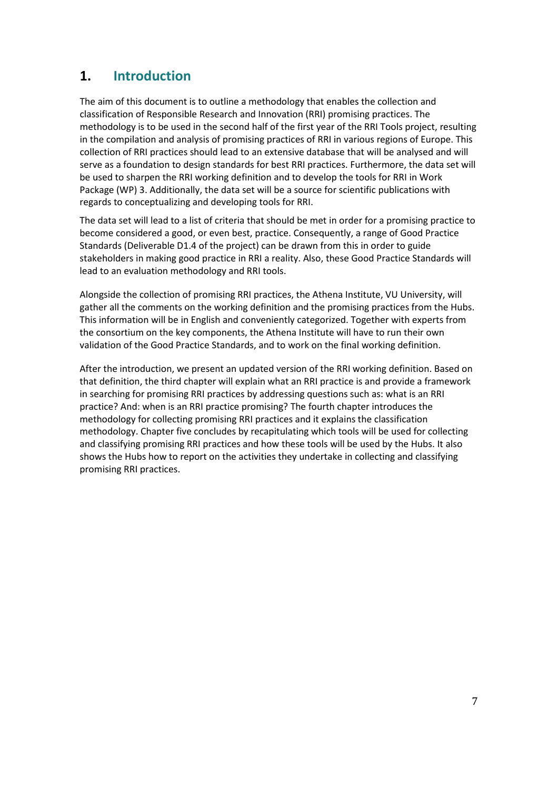## **1. Introduction**

The aim of this document is to outline a methodology that enables the collection and classification of Responsible Research and Innovation (RRI) promising practices. The methodology is to be used in the second half of the first year of the RRI Tools project, resulting in the compilation and analysis of promising practices of RRI in various regions of Europe. This collection of RRI practices should lead to an extensive database that will be analysed and will serve as a foundation to design standards for best RRI practices. Furthermore, the data set will be used to sharpen the RRI working definition and to develop the tools for RRI in Work Package (WP) 3. Additionally, the data set will be a source for scientific publications with regards to conceptualizing and developing tools for RRI.

The data set will lead to a list of criteria that should be met in order for a promising practice to become considered a good, or even best, practice. Consequently, a range of Good Practice Standards (Deliverable D1.4 of the project) can be drawn from this in order to guide stakeholders in making good practice in RRI a reality. Also, these Good Practice Standards will lead to an evaluation methodology and RRI tools.

Alongside the collection of promising RRI practices, the Athena Institute, VU University, will gather all the comments on the working definition and the promising practices from the Hubs. This information will be in English and conveniently categorized. Together with experts from the consortium on the key components, the Athena Institute will have to run their own validation of the Good Practice Standards, and to work on the final working definition.

After the introduction, we present an updated version of the RRI working definition. Based on that definition, the third chapter will explain what an RRI practice is and provide a framework in searching for promising RRI practices by addressing questions such as: what is an RRI practice? And: when is an RRI practice promising? The fourth chapter introduces the methodology for collecting promising RRI practices and it explains the classification methodology. Chapter five concludes by recapitulating which tools will be used for collecting and classifying promising RRI practices and how these tools will be used by the Hubs. It also shows the Hubs how to report on the activities they undertake in collecting and classifying promising RRI practices.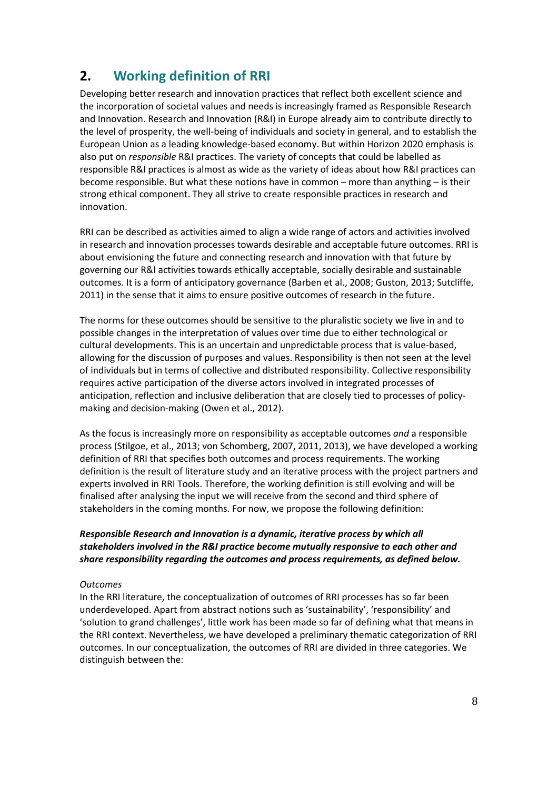## **2. Working definition of RRI**

Developing better research and innovation practices that reflect both excellent science and the incorporation of societal values and needs is increasingly framed as Responsible Research and Innovation. Research and Innovation (R&I) in Europe already aim to contribute directly to the level of prosperity, the well-being of individuals and society in general, and to establish the European Union as a leading knowledge-based economy. But within Horizon 2020 emphasis is also put on *responsible* R&I practices. The variety of concepts that could be labelled as responsible R&I practices is almost as wide as the variety of ideas about how R&I practices can become responsible. But what these notions have in common – more than anything – is their strong ethical component. They all strive to create responsible practices in research and innovation.

RRI can be described as activities aimed to align a wide range of actors and activities involved in research and innovation processes towards desirable and acceptable future outcomes. RRI is about envisioning the future and connecting research and innovation with that future by governing our R&I activities towards ethically acceptable, socially desirable and sustainable outcomes. It is a form of anticipatory governance (Barben et al., 2008; Guston, 2013; Sutcliffe, 2011) in the sense that it aims to ensure positive outcomes of research in the future.

The norms for these outcomes should be sensitive to the pluralistic society we live in and to possible changes in the interpretation of values over time due to either technological or cultural developments. This is an uncertain and unpredictable process that is value-based, allowing for the discussion of purposes and values. Responsibility is then not seen at the level of individuals but in terms of collective and distributed responsibility. Collective responsibility requires active participation of the diverse actors involved in integrated processes of anticipation, reflection and inclusive deliberation that are closely tied to processes of policymaking and decision-making (Owen et al., 2012).

As the focus is increasingly more on responsibility as acceptable outcomes *and* a responsible process (Stilgoe, et al., 2013; von Schomberg, 2007, 2011, 2013), we have developed a working definition of RRI that specifies both outcomes and process requirements. The working definition is the result of literature study and an iterative process with the project partners and experts involved in RRI Tools. Therefore, the working definition is still evolving and will be finalised after analysing the input we will receive from the second and third sphere of stakeholders in the coming months. For now, we propose the following definition:

## *Responsible Research and Innovation is a dynamic, iterative process by which all stakeholders involved in the R&I practice become mutually responsive to each other and share responsibility regarding the outcomes and process requirements, as defined below.*

## *Outcomes*

In the RRI literature, the conceptualization of outcomes of RRI processes has so far been underdeveloped. Apart from abstract notions such as 'sustainability', 'responsibility' and 'solution to grand challenges', little work has been made so far of defining what that means in the RRI context. Nevertheless, we have developed a preliminary thematic categorization of RRI outcomes. In our conceptualization, the outcomes of RRI are divided in three categories. We distinguish between the: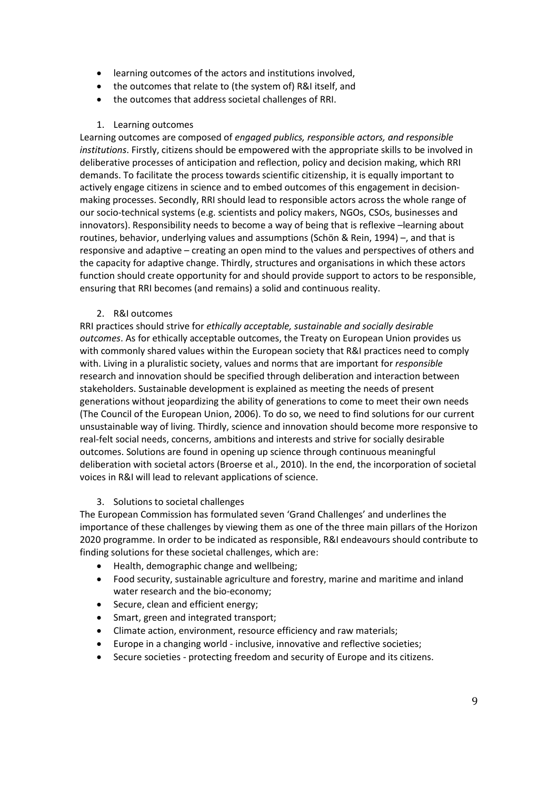- learning outcomes of the actors and institutions involved,
- the outcomes that relate to (the system of) R&I itself, and
- the outcomes that address societal challenges of RRI.

### 1. Learning outcomes

Learning outcomes are composed of *engaged publics, responsible actors, and responsible institutions*. Firstly, citizens should be empowered with the appropriate skills to be involved in deliberative processes of anticipation and reflection, policy and decision making, which RRI demands. To facilitate the process towards scientific citizenship, it is equally important to actively engage citizens in science and to embed outcomes of this engagement in decisionmaking processes. Secondly, RRI should lead to responsible actors across the whole range of our socio-technical systems (e.g. scientists and policy makers, NGOs, CSOs, businesses and innovators). Responsibility needs to become a way of being that is reflexive –learning about routines, behavior, underlying values and assumptions (Schön & Rein, 1994) –, and that is responsive and adaptive – creating an open mind to the values and perspectives of others and the capacity for adaptive change. Thirdly, structures and organisations in which these actors function should create opportunity for and should provide support to actors to be responsible, ensuring that RRI becomes (and remains) a solid and continuous reality.

## 2. R&I outcomes

RRI practices should strive for *ethically acceptable, sustainable and socially desirable outcomes*. As for ethically acceptable outcomes, the Treaty on European Union provides us with commonly shared values within the European society that R&I practices need to comply with. Living in a pluralistic society, values and norms that are important for *responsible*  research and innovation should be specified through deliberation and interaction between stakeholders. Sustainable development is explained as meeting the needs of present generations without jeopardizing the ability of generations to come to meet their own needs (The Council of the European Union, 2006). To do so, we need to find solutions for our current unsustainable way of living. Thirdly, science and innovation should become more responsive to real-felt social needs, concerns, ambitions and interests and strive for socially desirable outcomes. Solutions are found in opening up science through continuous meaningful deliberation with societal actors (Broerse et al., 2010). In the end, the incorporation of societal voices in R&I will lead to relevant applications of science.

## 3. Solutions to societal challenges

The European Commission has formulated seven 'Grand Challenges' and underlines the importance of these challenges by viewing them as one of the three main pillars of the Horizon 2020 programme. In order to be indicated as responsible, R&I endeavours should contribute to finding solutions for these societal challenges, which are:

- Health, demographic change and wellbeing;
- Food security, sustainable agriculture and forestry, marine and maritime and inland water research and the bio-economy;
- Secure, clean and efficient energy;
- Smart, green and integrated transport;
- Climate action, environment, resource efficiency and raw materials;
- Europe in a changing world inclusive, innovative and reflective societies;
- Secure societies protecting freedom and security of Europe and its citizens.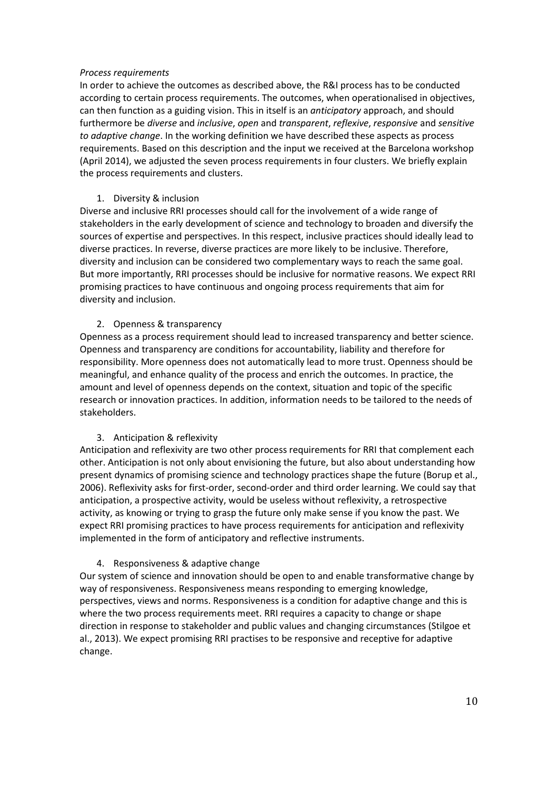### *Process requirements*

In order to achieve the outcomes as described above, the R&I process has to be conducted according to certain process requirements. The outcomes, when operationalised in objectives, can then function as a guiding vision. This in itself is an *anticipatory* approach, and should furthermore be *diverse* and *inclusive*, *open* and *transparent*, *reflexive*, *responsive* and *sensitive to adaptive change*. In the working definition we have described these aspects as process requirements. Based on this description and the input we received at the Barcelona workshop (April 2014), we adjusted the seven process requirements in four clusters. We briefly explain the process requirements and clusters.

## 1. Diversity & inclusion

Diverse and inclusive RRI processes should call for the involvement of a wide range of stakeholders in the early development of science and technology to broaden and diversify the sources of expertise and perspectives. In this respect, inclusive practices should ideally lead to diverse practices. In reverse, diverse practices are more likely to be inclusive. Therefore, diversity and inclusion can be considered two complementary ways to reach the same goal. But more importantly, RRI processes should be inclusive for normative reasons. We expect RRI promising practices to have continuous and ongoing process requirements that aim for diversity and inclusion.

## 2. Openness & transparency

Openness as a process requirement should lead to increased transparency and better science. Openness and transparency are conditions for accountability, liability and therefore for responsibility. More openness does not automatically lead to more trust. Openness should be meaningful, and enhance quality of the process and enrich the outcomes. In practice, the amount and level of openness depends on the context, situation and topic of the specific research or innovation practices. In addition, information needs to be tailored to the needs of stakeholders.

## 3. Anticipation & reflexivity

Anticipation and reflexivity are two other process requirements for RRI that complement each other. Anticipation is not only about envisioning the future, but also about understanding how present dynamics of promising science and technology practices shape the future (Borup et al., 2006). Reflexivity asks for first-order, second-order and third order learning. We could say that anticipation, a prospective activity, would be useless without reflexivity, a retrospective activity, as knowing or trying to grasp the future only make sense if you know the past. We expect RRI promising practices to have process requirements for anticipation and reflexivity implemented in the form of anticipatory and reflective instruments.

## 4. Responsiveness & adaptive change

Our system of science and innovation should be open to and enable transformative change by way of responsiveness. Responsiveness means responding to emerging knowledge, perspectives, views and norms. Responsiveness is a condition for adaptive change and this is where the two process requirements meet. RRI requires a capacity to change or shape direction in response to stakeholder and public values and changing circumstances (Stilgoe et al., 2013). We expect promising RRI practises to be responsive and receptive for adaptive change.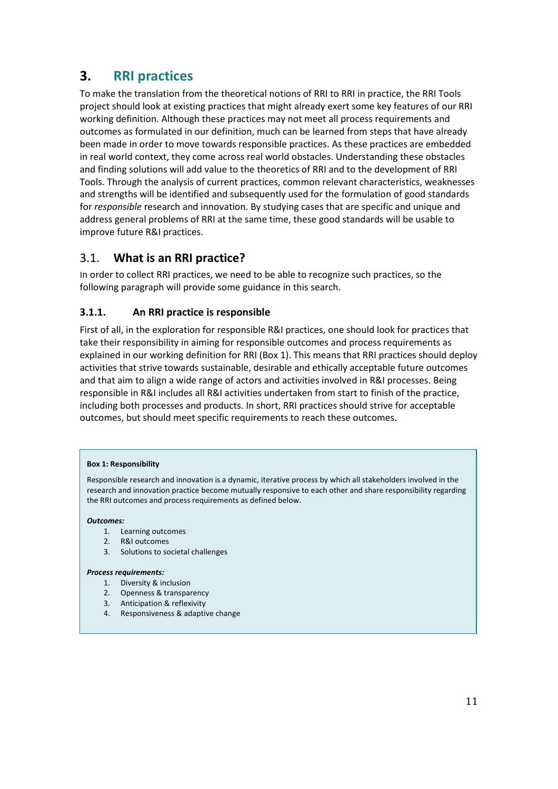## **3. RRI practices**

To make the translation from the theoretical notions of RRI to RRI in practice, the RRI Tools project should look at existing practices that might already exert some key features of our RRI working definition. Although these practices may not meet all process requirements and outcomes as formulated in our definition, much can be learned from steps that have already been made in order to move towards responsible practices. As these practices are embedded in real world context, they come across real world obstacles. Understanding these obstacles and finding solutions will add value to the theoretics of RRI and to the development of RRI Tools. Through the analysis of current practices, common relevant characteristics, weaknesses and strengths will be identified and subsequently used for the formulation of good standards for *responsible* research and innovation. By studying cases that are specific and unique and address general problems of RRI at the same time, these good standards will be usable to improve future R&I practices.

## 3.1. **What is an RRI practice?**

In order to collect RRI practices, we need to be able to recognize such practices, so the following paragraph will provide some guidance in this search.

## **3.1.1. An RRI practice is responsible**

First of all, in the exploration for responsible R&I practices, one should look for practices that take their responsibility in aiming for responsible outcomes and process requirements as explained in our working definition for RRI (Box 1). This means that RRI practices should deploy activities that strive towards sustainable, desirable and ethically acceptable future outcomes and that aim to align a wide range of actors and activities involved in R&I processes. Being responsible in R&I includes all R&I activities undertaken from start to finish of the practice, including both processes and products. In short, RRI practices should strive for acceptable outcomes, but should meet specific requirements to reach these outcomes.

### **Box 1: Responsibility**

Responsible research and innovation is a dynamic, iterative process by which all stakeholders involved in the research and innovation practice become mutually responsive to each other and share responsibility regarding the RRI outcomes and process requirements as defined below.

### *Outcomes:*

- 1. Learning outcomes
- 2. R&I outcomes
- 3. Solutions to societal challenges

### *Process requirements:*

- 1. Diversity & inclusion
- 2. Openness & transparency
- 3. Anticipation & reflexivity
- 4. Responsiveness & adaptive change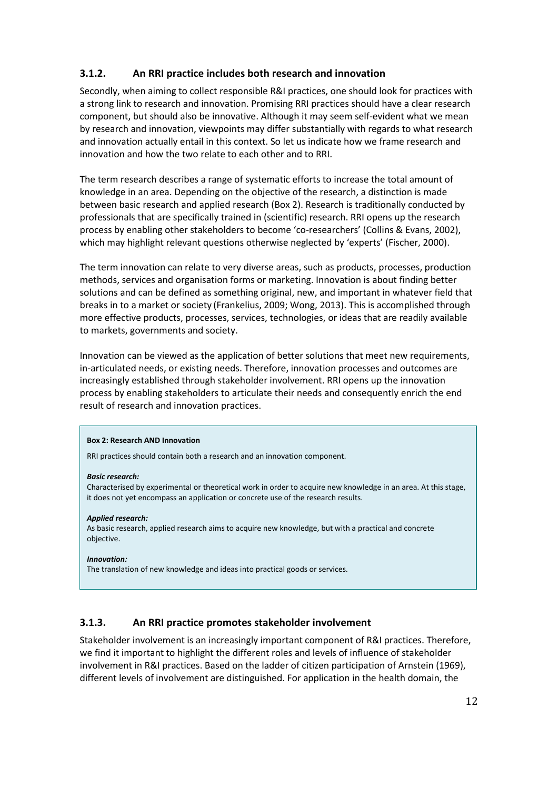## **3.1.2. An RRI practice includes both research and innovation**

Secondly, when aiming to collect responsible R&I practices, one should look for practices with a strong link to research and innovation. Promising RRI practices should have a clear research component, but should also be innovative. Although it may seem self-evident what we mean by research and innovation, viewpoints may differ substantially with regards to what research and innovation actually entail in this context. So let us indicate how we frame research and innovation and how the two relate to each other and to RRI.

The term research describes a range of systematic efforts to increase the total amount of knowledge in an area. Depending on the objective of the research, a distinction is made between basic research and applied research (Box 2). Research is traditionally conducted by professionals that are specifically trained in (scientific) research. RRI opens up the research process by enabling other stakeholders to become 'co-researchers' (Collins & Evans, 2002), which may highlight relevant questions otherwise neglected by 'experts' (Fischer, 2000).

The term innovation can relate to very diverse areas, such as products, processes, production methods, services and organisation forms or marketing. Innovation is about finding better solutions and can be defined as something original, new, and important in whatever field that breaks in to a market or society (Frankelius, 2009; Wong, 2013). This is accomplished through more effective products, processes, services, technologies, or ideas that are readily available to markets, governments and society.

Innovation can be viewed as the application of better solutions that meet new requirements, in-articulated needs, or existing needs. Therefore, innovation processes and outcomes are increasingly established through stakeholder involvement. RRI opens up the innovation process by enabling stakeholders to articulate their needs and consequently enrich the end result of research and innovation practices.

### **Box 2: Research AND Innovation**

RRI practices should contain both a research and an innovation component.

#### *Basic research:*

Characterised by experimental or theoretical work in order to acquire new knowledge in an area. At this stage, it does not yet encompass an application or concrete use of the research results.

### *Applied research:*

As basic research, applied research aims to acquire new knowledge, but with a practical and concrete objective.

#### *Innovation:*

The translation of new knowledge and ideas into practical goods or services.

## **3.1.3. An RRI practice promotes stakeholder involvement**

Stakeholder involvement is an increasingly important component of R&I practices. Therefore, we find it important to highlight the different roles and levels of influence of stakeholder involvement in R&I practices. Based on the ladder of citizen participation of Arnstein (1969), different levels of involvement are distinguished. For application in the health domain, the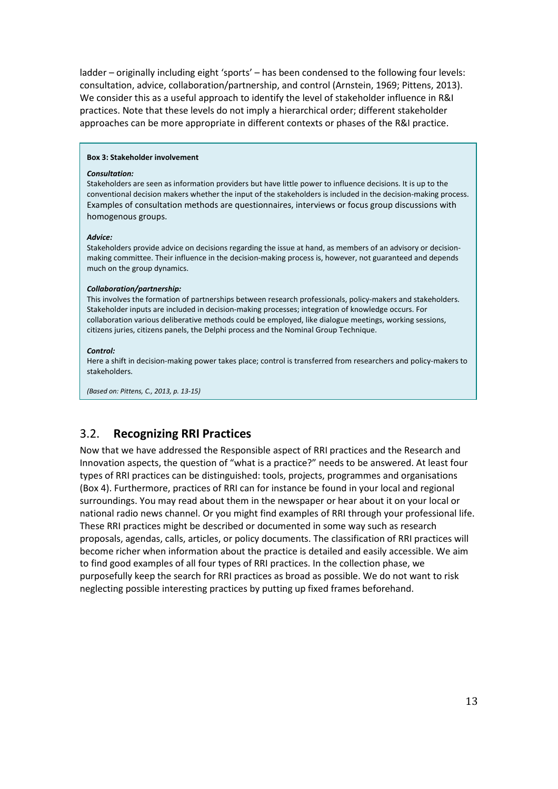ladder – originally including eight 'sports' – has been condensed to the following four levels: consultation, advice, collaboration/partnership, and control (Arnstein, 1969; Pittens, 2013). We consider this as a useful approach to identify the level of stakeholder influence in R&I practices. Note that these levels do not imply a hierarchical order; different stakeholder approaches can be more appropriate in different contexts or phases of the R&I practice.

#### **Box 3: Stakeholder involvement**

#### *Consultation:*

Stakeholders are seen as information providers but have little power to influence decisions. It is up to the conventional decision makers whether the input of the stakeholders is included in the decision-making process. Examples of consultation methods are questionnaires, interviews or focus group discussions with homogenous groups.

#### *Advice:*

Stakeholders provide advice on decisions regarding the issue at hand, as members of an advisory or decisionmaking committee. Their influence in the decision-making process is, however, not guaranteed and depends much on the group dynamics.

#### *Collaboration/partnership:*

This involves the formation of partnerships between research professionals, policy-makers and stakeholders. Stakeholder inputs are included in decision-making processes; integration of knowledge occurs. For collaboration various deliberative methods could be employed, like dialogue meetings, working sessions, citizens juries, citizens panels, the Delphi process and the Nominal Group Technique.

#### *Control:*

Here a shift in decision-making power takes place; control is transferred from researchers and policy-makers to stakeholders.

*(Based on: Pittens, C., 2013, p. 13-15)*

## 3.2. **Recognizing RRI Practices**

Now that we have addressed the Responsible aspect of RRI practices and the Research and Innovation aspects, the question of "what is a practice?" needs to be answered. At least four types of RRI practices can be distinguished: tools, projects, programmes and organisations (Box 4). Furthermore, practices of RRI can for instance be found in your local and regional surroundings. You may read about them in the newspaper or hear about it on your local or national radio news channel. Or you might find examples of RRI through your professional life. These RRI practices might be described or documented in some way such as research proposals, agendas, calls, articles, or policy documents. The classification of RRI practices will become richer when information about the practice is detailed and easily accessible. We aim to find good examples of all four types of RRI practices. In the collection phase, we purposefully keep the search for RRI practices as broad as possible. We do not want to risk neglecting possible interesting practices by putting up fixed frames beforehand.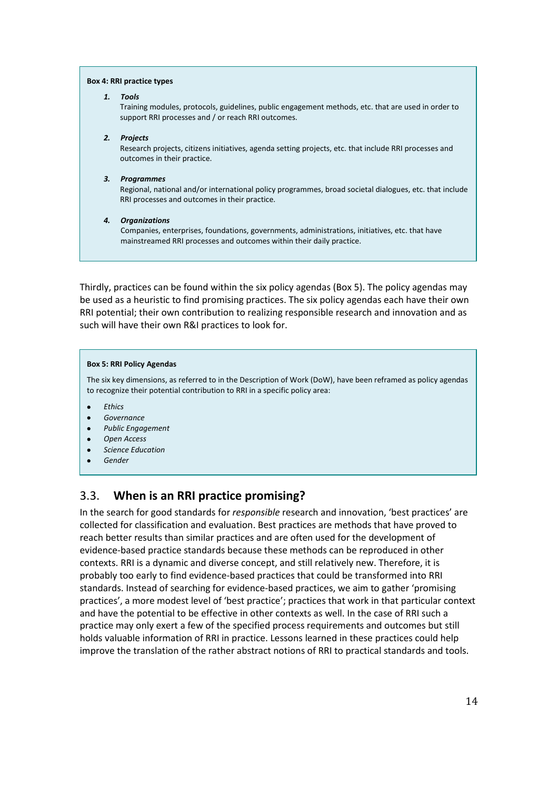#### **Box 4: RRI practice types**

#### *1. Tools*

Training modules, protocols, guidelines, public engagement methods, etc. that are used in order to support RRI processes and / or reach RRI outcomes.

#### *2. Projects*

Research projects, citizens initiatives, agenda setting projects, etc. that include RRI processes and outcomes in their practice.

#### *3. Programmes*

Regional, national and/or international policy programmes, broad societal dialogues, etc. that include RRI processes and outcomes in their practice.

#### *4. Organizations*

Companies, enterprises, foundations, governments, administrations, initiatives, etc. that have mainstreamed RRI processes and outcomes within their daily practice.

Thirdly, practices can be found within the six policy agendas (Box 5). The policy agendas may be used as a heuristic to find promising practices. The six policy agendas each have their own RRI potential; their own contribution to realizing responsible research and innovation and as such will have their own R&I practices to look for.

#### **Box 5: RRI Policy Agendas**

The six key dimensions, as referred to in the Description of Work (DoW), have been reframed as policy agendas to recognize their potential contribution to RRI in a specific policy area:

- *Ethics*
- *Governance*
- *Public Engagement*
- *Open Access*
- *Science Education*
- *Gender*

## 3.3. **When is an RRI practice promising?**

In the search for good standards for *responsible* research and innovation, 'best practices' are collected for classification and evaluation. Best practices are methods that have proved to reach better results than similar practices and are often used for the development of evidence-based practice standards because these methods can be reproduced in other contexts. RRI is a dynamic and diverse concept, and still relatively new. Therefore, it is probably too early to find evidence-based practices that could be transformed into RRI standards. Instead of searching for evidence-based practices, we aim to gather 'promising practices', a more modest level of 'best practice'; practices that work in that particular context and have the potential to be effective in other contexts as well. In the case of RRI such a practice may only exert a few of the specified process requirements and outcomes but still holds valuable information of RRI in practice. Lessons learned in these practices could help improve the translation of the rather abstract notions of RRI to practical standards and tools.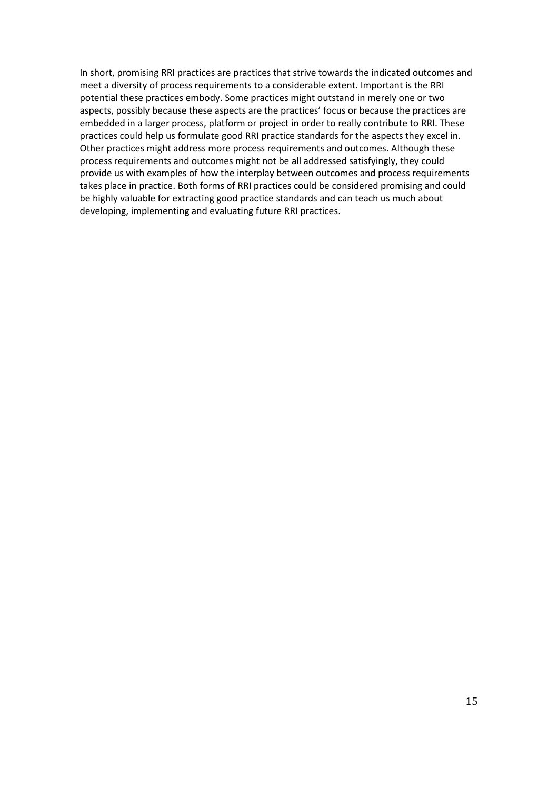In short, promising RRI practices are practices that strive towards the indicated outcomes and meet a diversity of process requirements to a considerable extent. Important is the RRI potential these practices embody. Some practices might outstand in merely one or two aspects, possibly because these aspects are the practices' focus or because the practices are embedded in a larger process, platform or project in order to really contribute to RRI. These practices could help us formulate good RRI practice standards for the aspects they excel in. Other practices might address more process requirements and outcomes. Although these process requirements and outcomes might not be all addressed satisfyingly, they could provide us with examples of how the interplay between outcomes and process requirements takes place in practice. Both forms of RRI practices could be considered promising and could be highly valuable for extracting good practice standards and can teach us much about developing, implementing and evaluating future RRI practices.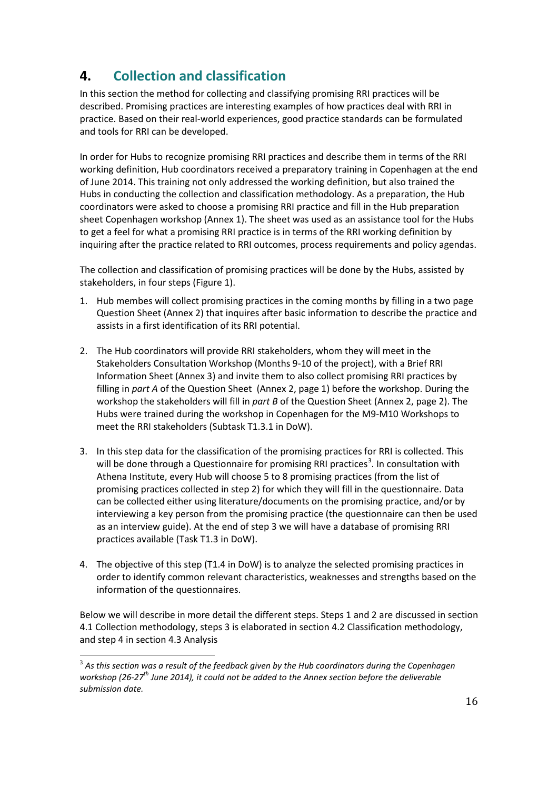## **4. Collection and classification**

In this section the method for collecting and classifying promising RRI practices will be described. Promising practices are interesting examples of how practices deal with RRI in practice. Based on their real-world experiences, good practice standards can be formulated and tools for RRI can be developed.

In order for Hubs to recognize promising RRI practices and describe them in terms of the RRI working definition, Hub coordinators received a preparatory training in Copenhagen at the end of June 2014. This training not only addressed the working definition, but also trained the Hubs in conducting the collection and classification methodology. As a preparation, the Hub coordinators were asked to choose a promising RRI practice and fill in the Hub preparation sheet Copenhagen workshop (Annex 1). The sheet was used as an assistance tool for the Hubs to get a feel for what a promising RRI practice is in terms of the RRI working definition by inquiring after the practice related to RRI outcomes, process requirements and policy agendas.

The collection and classification of promising practices will be done by the Hubs, assisted by stakeholders, in four steps (Figure 1).

- 1. Hub membes will collect promising practices in the coming months by filling in a two page Question Sheet (Annex 2) that inquires after basic information to describe the practice and assists in a first identification of its RRI potential.
- 2. The Hub coordinators will provide RRI stakeholders, whom they will meet in the Stakeholders Consultation Workshop (Months 9-10 of the project), with a Brief RRI Information Sheet (Annex 3) and invite them to also collect promising RRI practices by filling in *part A* of the Question Sheet (Annex 2, page 1) before the workshop. During the workshop the stakeholders will fill in *part B* of the Question Sheet (Annex 2, page 2). The Hubs were trained during the workshop in Copenhagen for the M9-M10 Workshops to meet the RRI stakeholders (Subtask T1.3.1 in DoW).
- 3. In this step data for the classification of the promising practices for RRI is collected. This will be done through a Questionnaire for promising RRI practices<sup>[3](#page-4-1)</sup>. In consultation with Athena Institute, every Hub will choose 5 to 8 promising practices (from the list of promising practices collected in step 2) for which they will fill in the questionnaire. Data can be collected either using literature/documents on the promising practice, and/or by interviewing a key person from the promising practice (the questionnaire can then be used as an interview guide). At the end of step 3 we will have a database of promising RRI practices available (Task T1.3 in DoW).
- 4. The objective of this step (T1.4 in DoW) is to analyze the selected promising practices in order to identify common relevant characteristics, weaknesses and strengths based on the information of the questionnaires.

Below we will describe in more detail the different steps. Steps 1 and 2 are discussed in section 4.1 Collection methodology, steps 3 is elaborated in section 4.2 Classification methodology, and step 4 in section 4.3 Analysis

<span id="page-15-0"></span><sup>3</sup> *As this section was a result of the feedback given by the Hub coordinators during the Copenhagen workshop (26-27th June 2014), it could not be added to the Annex section before the deliverable submission date.*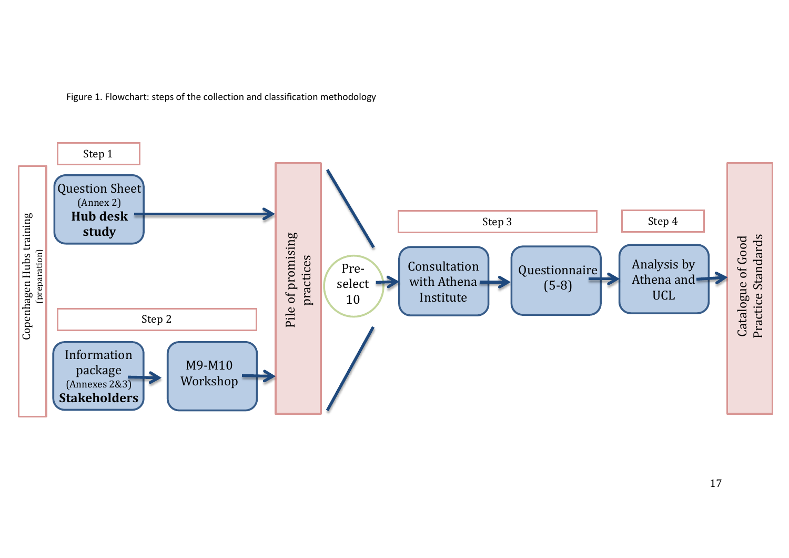Figure 1. Flowchart: steps of the collection and classification methodology

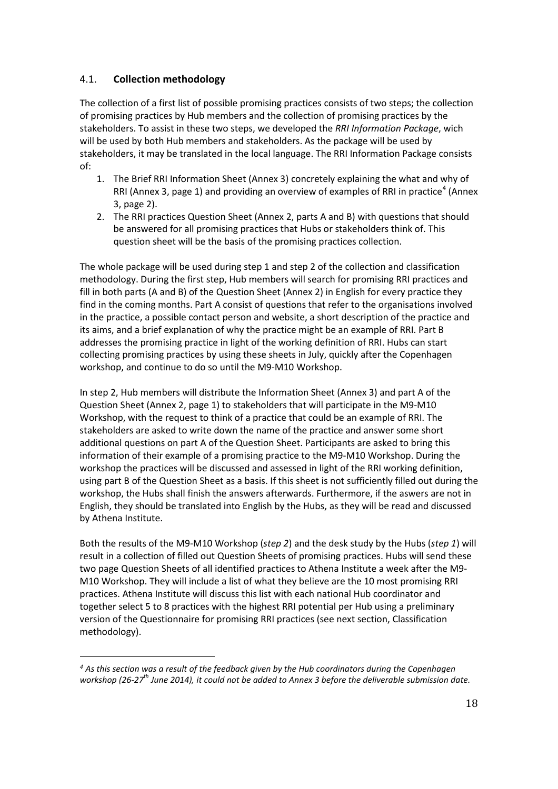## 4.1. **Collection methodology**

The collection of a first list of possible promising practices consists of two steps; the collection of promising practices by Hub members and the collection of promising practices by the stakeholders. To assist in these two steps, we developed the *RRI Information Package*, wich will be used by both Hub members and stakeholders. As the package will be used by stakeholders, it may be translated in the local language. The RRI Information Package consists of:

- 1. The Brief RRI Information Sheet (Annex 3) concretely explaining the what and why of RRI (Annex 3, page 1) and providing an overview of examples of RRI in practice<sup>[4](#page-15-0)</sup> (Annex 3, page 2).
- 2. The RRI practices Question Sheet (Annex 2, parts A and B) with questions that should be answered for all promising practices that Hubs or stakeholders think of. This question sheet will be the basis of the promising practices collection.

The whole package will be used during step 1 and step 2 of the collection and classification methodology. During the first step, Hub members will search for promising RRI practices and fill in both parts (A and B) of the Question Sheet (Annex 2) in English for every practice they find in the coming months. Part A consist of questions that refer to the organisations involved in the practice, a possible contact person and website, a short description of the practice and its aims, and a brief explanation of why the practice might be an example of RRI. Part B addresses the promising practice in light of the working definition of RRI. Hubs can start collecting promising practices by using these sheets in July, quickly after the Copenhagen workshop, and continue to do so until the M9-M10 Workshop.

In step 2, Hub members will distribute the Information Sheet (Annex 3) and part A of the Question Sheet (Annex 2, page 1) to stakeholders that will participate in the M9-M10 Workshop, with the request to think of a practice that could be an example of RRI. The stakeholders are asked to write down the name of the practice and answer some short additional questions on part A of the Question Sheet. Participants are asked to bring this information of their example of a promising practice to the M9-M10 Workshop. During the workshop the practices will be discussed and assessed in light of the RRI working definition, using part B of the Question Sheet as a basis. If this sheet is not sufficiently filled out during the workshop, the Hubs shall finish the answers afterwards. Furthermore, if the aswers are not in English, they should be translated into English by the Hubs, as they will be read and discussed by Athena Institute.

Both the results of the M9-M10 Workshop (*step 2*) and the desk study by the Hubs (*step 1*) will result in a collection of filled out Question Sheets of promising practices. Hubs will send these two page Question Sheets of all identified practices to Athena Institute a week after the M9- M10 Workshop. They will include a list of what they believe are the 10 most promising RRI practices. Athena Institute will discuss this list with each national Hub coordinator and together select 5 to 8 practices with the highest RRI potential per Hub using a preliminary version of the Questionnaire for promising RRI practices (see next section, Classification methodology).

<span id="page-17-0"></span>*<sup>4</sup> As this section was a result of the feedback given by the Hub coordinators during the Copenhagen workshop (26-27th June 2014), it could not be added to Annex 3 before the deliverable submission date.*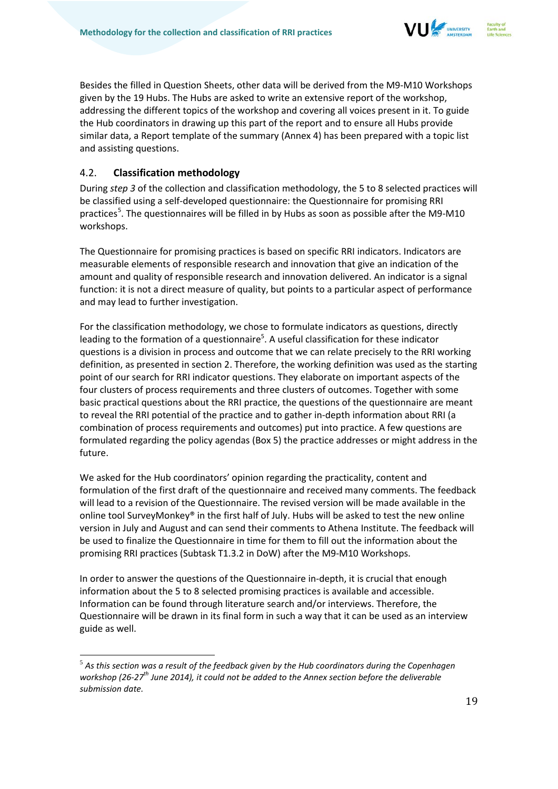

Besides the filled in Question Sheets, other data will be derived from the M9-M10 Workshops given by the 19 Hubs. The Hubs are asked to write an extensive report of the workshop, addressing the different topics of the workshop and covering all voices present in it. To guide the Hub coordinators in drawing up this part of the report and to ensure all Hubs provide similar data, a Report template of the summary (Annex 4) has been prepared with a topic list and assisting questions.

## 4.2. **Classification methodology**

During *step 3* of the collection and classification methodology, the 5 to 8 selected practices will be classified using a self-developed questionnaire: the Questionnaire for promising RRI practices<sup>[5](#page-17-0)</sup>. The questionnaires will be filled in by Hubs as soon as possible after the M9-M10 workshops.

The Questionnaire for promising practices is based on specific RRI indicators. Indicators are measurable elements of responsible research and innovation that give an indication of the amount and quality of responsible research and innovation delivered. An indicator is a signal function: it is not a direct measure of quality, but points to a particular aspect of performance and may lead to further investigation.

For the classification methodology, we chose to formulate indicators as questions, directly leading to the formation of a questionnaire<sup>5</sup>. A useful classification for these indicator questions is a division in process and outcome that we can relate precisely to the RRI working definition, as presented in section 2. Therefore, the working definition was used as the starting point of our search for RRI indicator questions. They elaborate on important aspects of the four clusters of process requirements and three clusters of outcomes. Together with some basic practical questions about the RRI practice, the questions of the questionnaire are meant to reveal the RRI potential of the practice and to gather in-depth information about RRI (a combination of process requirements and outcomes) put into practice. A few questions are formulated regarding the policy agendas (Box 5) the practice addresses or might address in the future.

We asked for the Hub coordinators' opinion regarding the practicality, content and formulation of the first draft of the questionnaire and received many comments. The feedback will lead to a revision of the Questionnaire. The revised version will be made available in the online tool SurveyMonkey® in the first half of July. Hubs will be asked to test the new online version in July and August and can send their comments to Athena Institute. The feedback will be used to finalize the Questionnaire in time for them to fill out the information about the promising RRI practices (Subtask T1.3.2 in DoW) after the M9-M10 Workshops.

In order to answer the questions of the Questionnaire in-depth, it is crucial that enough information about the 5 to 8 selected promising practices is available and accessible. Information can be found through literature search and/or interviews. Therefore, the Questionnaire will be drawn in its final form in such a way that it can be used as an interview guide as well.

<sup>5</sup> *As this section was a result of the feedback given by the Hub coordinators during the Copenhagen workshop (26-27th June 2014), it could not be added to the Annex section before the deliverable submission date.*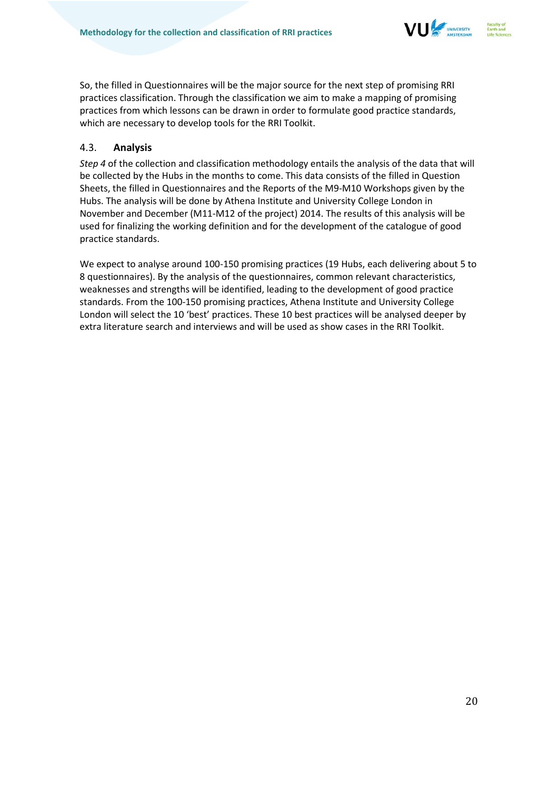

So, the filled in Questionnaires will be the major source for the next step of promising RRI practices classification. Through the classification we aim to make a mapping of promising practices from which lessons can be drawn in order to formulate good practice standards, which are necessary to develop tools for the RRI Toolkit.

## 4.3. **Analysis**

*Step 4* of the collection and classification methodology entails the analysis of the data that will be collected by the Hubs in the months to come. This data consists of the filled in Question Sheets, the filled in Questionnaires and the Reports of the M9-M10 Workshops given by the Hubs. The analysis will be done by Athena Institute and University College London in November and December (M11-M12 of the project) 2014. The results of this analysis will be used for finalizing the working definition and for the development of the catalogue of good practice standards.

We expect to analyse around 100-150 promising practices (19 Hubs, each delivering about 5 to 8 questionnaires). By the analysis of the questionnaires, common relevant characteristics, weaknesses and strengths will be identified, leading to the development of good practice standards. From the 100-150 promising practices, Athena Institute and University College London will select the 10 'best' practices. These 10 best practices will be analysed deeper by extra literature search and interviews and will be used as show cases in the RRI Toolkit.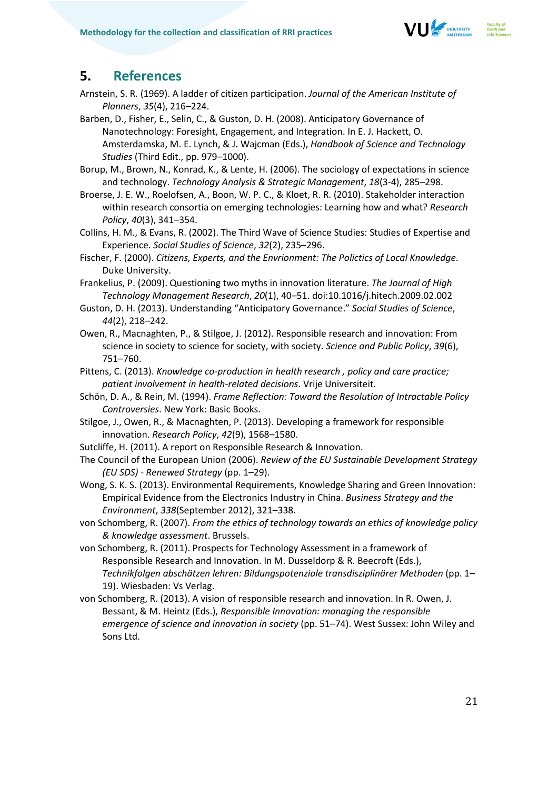

## **5. References**

- Arnstein, S. R. (1969). A ladder of citizen participation. *Journal of the American Institute of Planners*, *35*(4), 216–224.
- Barben, D., Fisher, E., Selin, C., & Guston, D. H. (2008). Anticipatory Governance of Nanotechnology: Foresight, Engagement, and Integration. In E. J. Hackett, O. Amsterdamska, M. E. Lynch, & J. Wajcman (Eds.), *Handbook of Science and Technology Studies* (Third Edit., pp. 979–1000).
- Borup, M., Brown, N., Konrad, K., & Lente, H. (2006). The sociology of expectations in science and technology. *Technology Analysis & Strategic Management*, *18*(3-4), 285–298.
- Broerse, J. E. W., Roelofsen, A., Boon, W. P. C., & Kloet, R. R. (2010). Stakeholder interaction within research consortia on emerging technologies: Learning how and what? *Research Policy*, *40*(3), 341–354.
- Collins, H. M., & Evans, R. (2002). The Third Wave of Science Studies: Studies of Expertise and Experience. *Social Studies of Science*, *32*(2), 235–296.
- Fischer, F. (2000). *Citizens, Experts, and the Envrionment: The Polictics of Local Knowledge*. Duke University.
- Frankelius, P. (2009). Questioning two myths in innovation literature. *The Journal of High Technology Management Research*, *20*(1), 40–51. doi:10.1016/j.hitech.2009.02.002
- Guston, D. H. (2013). Understanding "Anticipatory Governance." *Social Studies of Science*, *44*(2), 218–242.
- Owen, R., Macnaghten, P., & Stilgoe, J. (2012). Responsible research and innovation: From science in society to science for society, with society. *Science and Public Policy*, *39*(6), 751–760.
- Pittens, C. (2013). *Knowledge co-production in health research , policy and care practice; patient involvement in health-related decisions*. Vrije Universiteit.
- Schön, D. A., & Rein, M. (1994). *Frame Reflection: Toward the Resolution of Intractable Policy Controversies*. New York: Basic Books.
- Stilgoe, J., Owen, R., & Macnaghten, P. (2013). Developing a framework for responsible innovation. *Research Policy*, *42*(9), 1568–1580.
- Sutcliffe, H. (2011). A report on Responsible Research & Innovation.
- The Council of the European Union (2006). *Review of the EU Sustainable Development Strategy (EU SDS) - Renewed Strategy* (pp. 1–29).
- Wong, S. K. S. (2013). Environmental Requirements, Knowledge Sharing and Green Innovation: Empirical Evidence from the Electronics Industry in China. *Business Strategy and the Environment*, *338*(September 2012), 321–338.
- von Schomberg, R. (2007). *From the ethics of technology towards an ethics of knowledge policy & knowledge assessment*. Brussels.
- von Schomberg, R. (2011). Prospects for Technology Assessment in a framework of Responsible Research and Innovation. In M. Dusseldorp & R. Beecroft (Eds.), *Technikfolgen abschätzen lehren: Bildungspotenziale transdisziplinärer Methoden* (pp. 1– 19). Wiesbaden: Vs Verlag.
- von Schomberg, R. (2013). A vision of responsible research and innovation. In R. Owen, J. Bessant, & M. Heintz (Eds.), *Responsible Innovation: managing the responsible emergence of science and innovation in society* (pp. 51–74). West Sussex: John Wiley and Sons Ltd.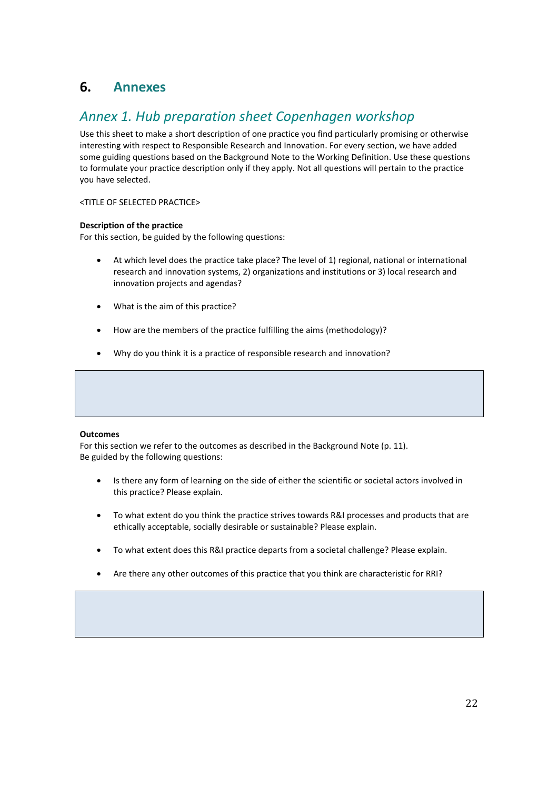## **6. Annexes**

## *Annex 1. Hub preparation sheet Copenhagen workshop*

Use this sheet to make a short description of one practice you find particularly promising or otherwise interesting with respect to Responsible Research and Innovation. For every section, we have added some guiding questions based on the Background Note to the Working Definition. Use these questions to formulate your practice description only if they apply. Not all questions will pertain to the practice you have selected.

<TITLE OF SELECTED PRACTICE>

### **Description of the practice**

For this section, be guided by the following questions:

- At which level does the practice take place? The level of 1) regional, national or international research and innovation systems, 2) organizations and institutions or 3) local research and innovation projects and agendas?
- What is the aim of this practice?
- How are the members of the practice fulfilling the aims (methodology)?
- Why do you think it is a practice of responsible research and innovation?

### **Outcomes**

For this section we refer to the outcomes as described in the Background Note (p. 11). Be guided by the following questions:

- Is there any form of learning on the side of either the scientific or societal actors involved in this practice? Please explain.
- To what extent do you think the practice strives towards R&I processes and products that are ethically acceptable, socially desirable or sustainable? Please explain.
- To what extent does this R&I practice departs from a societal challenge? Please explain.
- Are there any other outcomes of this practice that you think are characteristic for RRI?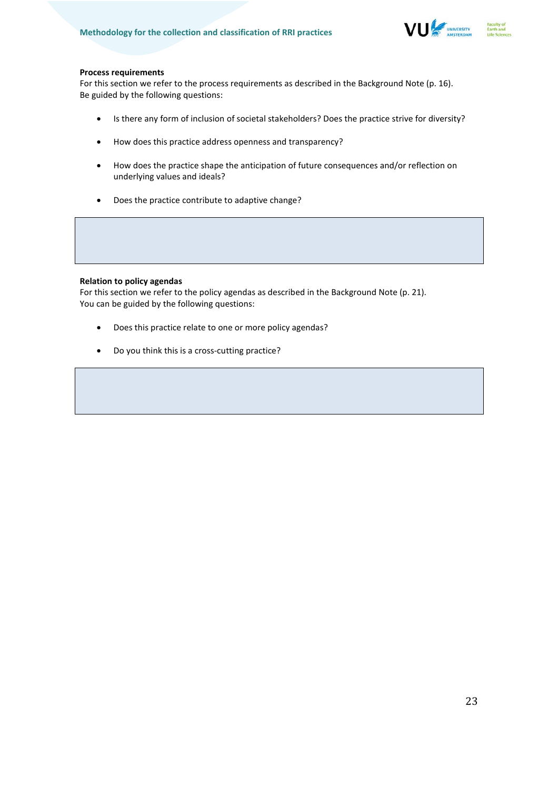

### **Process requirements**

For this section we refer to the process requirements as described in the Background Note (p. 16). Be guided by the following questions:

- Is there any form of inclusion of societal stakeholders? Does the practice strive for diversity?
- How does this practice address openness and transparency?
- How does the practice shape the anticipation of future consequences and/or reflection on underlying values and ideals?
- Does the practice contribute to adaptive change?

### **Relation to policy agendas**

For this section we refer to the policy agendas as described in the Background Note (p. 21). You can be guided by the following questions:

- Does this practice relate to one or more policy agendas?
- Do you think this is a cross-cutting practice?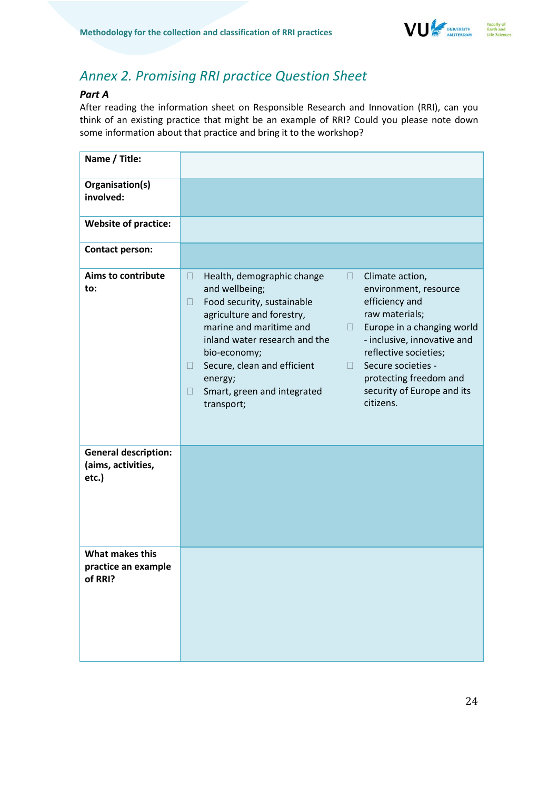

## *Annex 2. Promising RRI practice Question Sheet*

## *Part A*

After reading the information sheet on Responsible Research and Innovation (RRI), can you think of an existing practice that might be an example of RRI? Could you please note down some information about that practice and bring it to the workshop?

| Name / Title:                                              |                                                                                                                                                                                                                                                                                                                                                                                                                                                                                                                                                                                                     |
|------------------------------------------------------------|-----------------------------------------------------------------------------------------------------------------------------------------------------------------------------------------------------------------------------------------------------------------------------------------------------------------------------------------------------------------------------------------------------------------------------------------------------------------------------------------------------------------------------------------------------------------------------------------------------|
| Organisation(s)<br>involved:                               |                                                                                                                                                                                                                                                                                                                                                                                                                                                                                                                                                                                                     |
| <b>Website of practice:</b>                                |                                                                                                                                                                                                                                                                                                                                                                                                                                                                                                                                                                                                     |
| <b>Contact person:</b>                                     |                                                                                                                                                                                                                                                                                                                                                                                                                                                                                                                                                                                                     |
| <b>Aims to contribute</b><br>to:                           | Health, demographic change<br>$\Box$<br>Climate action,<br>$\Box$<br>and wellbeing;<br>environment, resource<br>efficiency and<br>Food security, sustainable<br>$\Box$<br>agriculture and forestry,<br>raw materials;<br>marine and maritime and<br>Europe in a changing world<br>ш<br>inland water research and the<br>- inclusive, innovative and<br>reflective societies;<br>bio-economy;<br>Secure societies -<br>Secure, clean and efficient<br>n.<br>$\Box$<br>protecting freedom and<br>energy;<br>security of Europe and its<br>Smart, green and integrated<br>П<br>citizens.<br>transport; |
| <b>General description:</b><br>(aims, activities,<br>etc.) |                                                                                                                                                                                                                                                                                                                                                                                                                                                                                                                                                                                                     |
| What makes this<br>practice an example<br>of RRI?          |                                                                                                                                                                                                                                                                                                                                                                                                                                                                                                                                                                                                     |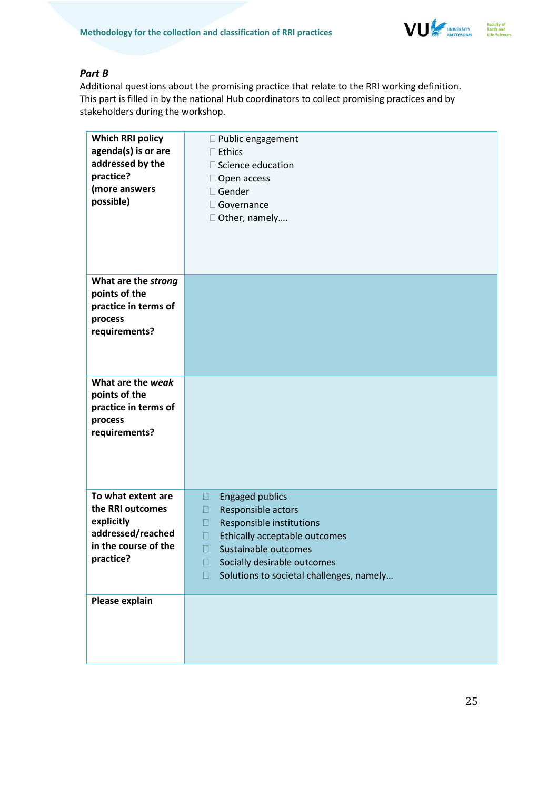

## *Part B*

Additional questions about the promising practice that relate to the RRI working definition. This part is filled in by the national Hub coordinators to collect promising practices and by stakeholders during the workshop.

| <b>Which RRI policy</b><br>agenda(s) is or are<br>addressed by the<br>practice?<br>(more answers<br>possible) | □ Public engagement<br>$\square$ Ethics<br>□ Science education<br>$\Box$ Open access<br>□ Gender<br>$\Box$ Governance<br>$\Box$ Other, namely |
|---------------------------------------------------------------------------------------------------------------|-----------------------------------------------------------------------------------------------------------------------------------------------|
| What are the strong                                                                                           |                                                                                                                                               |
| points of the<br>practice in terms of                                                                         |                                                                                                                                               |
| process                                                                                                       |                                                                                                                                               |
| requirements?                                                                                                 |                                                                                                                                               |
| What are the weak                                                                                             |                                                                                                                                               |
| points of the<br>practice in terms of                                                                         |                                                                                                                                               |
| process                                                                                                       |                                                                                                                                               |
| requirements?                                                                                                 |                                                                                                                                               |
|                                                                                                               |                                                                                                                                               |
|                                                                                                               |                                                                                                                                               |
|                                                                                                               |                                                                                                                                               |
| To what extent are                                                                                            | <b>Engaged publics</b><br>◨                                                                                                                   |
| the RRI outcomes                                                                                              | Responsible actors<br>П                                                                                                                       |
| explicitly<br>addressed/reached                                                                               | Responsible institutions<br>П                                                                                                                 |
| in the course of the                                                                                          | Ethically acceptable outcomes<br>П<br>Sustainable outcomes                                                                                    |
| practice?                                                                                                     | $\Box$<br>Socially desirable outcomes<br>П                                                                                                    |
|                                                                                                               | Solutions to societal challenges, namely<br>П                                                                                                 |
|                                                                                                               |                                                                                                                                               |
| Please explain                                                                                                |                                                                                                                                               |
|                                                                                                               |                                                                                                                                               |
|                                                                                                               |                                                                                                                                               |
|                                                                                                               |                                                                                                                                               |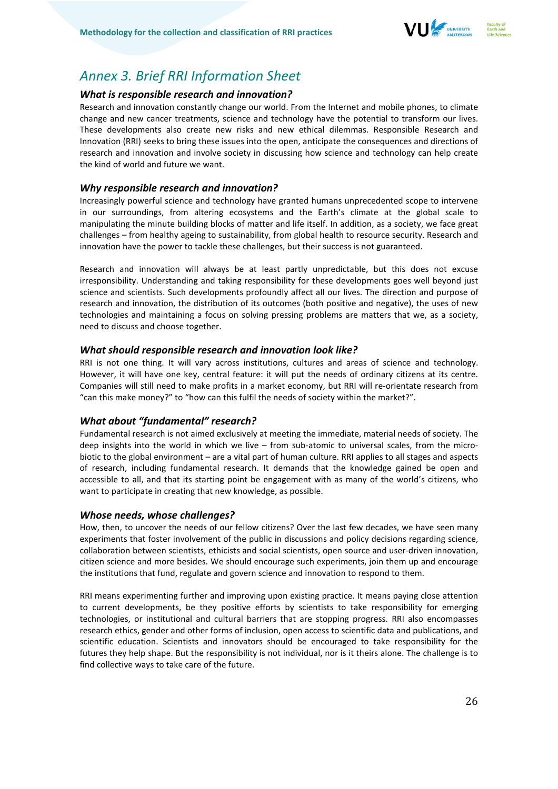

## *Annex 3. Brief RRI Information Sheet*

### *What is responsible research and innovation?*

Research and innovation constantly change our world. From the Internet and mobile phones, to climate change and new cancer treatments, science and technology have the potential to transform our lives. These developments also create new risks and new ethical dilemmas. Responsible Research and Innovation (RRI) seeks to bring these issues into the open, anticipate the consequences and directions of research and innovation and involve society in discussing how science and technology can help create the kind of world and future we want.

### *Why responsible research and innovation?*

Increasingly powerful science and technology have granted humans unprecedented scope to intervene in our surroundings, from altering ecosystems and the Earth's climate at the global scale to manipulating the minute building blocks of matter and life itself. In addition, as a society, we face great challenges – from healthy ageing to sustainability, from global health to resource security. Research and innovation have the power to tackle these challenges, but their success is not guaranteed.

Research and innovation will always be at least partly unpredictable, but this does not excuse irresponsibility. Understanding and taking responsibility for these developments goes well beyond just science and scientists. Such developments profoundly affect all our lives. The direction and purpose of research and innovation, the distribution of its outcomes (both positive and negative), the uses of new technologies and maintaining a focus on solving pressing problems are matters that we, as a society, need to discuss and choose together.

### *What should responsible research and innovation look like?*

RRI is not one thing. It will vary across institutions, cultures and areas of science and technology. However, it will have one key, central feature: it will put the needs of ordinary citizens at its centre. Companies will still need to make profits in a market economy, but RRI will re-orientate research from "can this make money?" to "how can this fulfil the needs of society within the market?".

## *What about "fundamental" research?*

Fundamental research is not aimed exclusively at meeting the immediate, material needs of society. The deep insights into the world in which we live – from sub-atomic to universal scales, from the microbiotic to the global environment – are a vital part of human culture. RRI applies to all stages and aspects of research, including fundamental research. It demands that the knowledge gained be open and accessible to all, and that its starting point be engagement with as many of the world's citizens, who want to participate in creating that new knowledge, as possible.

### *Whose needs, whose challenges?*

How, then, to uncover the needs of our fellow citizens? Over the last few decades, we have seen many experiments that foster involvement of the public in discussions and policy decisions regarding science, collaboration between scientists, ethicists and social scientists, open source and user-driven innovation, citizen science and more besides. We should encourage such experiments, join them up and encourage the institutions that fund, regulate and govern science and innovation to respond to them.

RRI means experimenting further and improving upon existing practice. It means paying close attention to current developments, be they positive efforts by scientists to take responsibility for emerging technologies, or institutional and cultural barriers that are stopping progress. RRI also encompasses research ethics, gender and other forms of inclusion, open access to scientific data and publications, and scientific education. Scientists and innovators should be encouraged to take responsibility for the futures they help shape. But the responsibility is not individual, nor is it theirs alone. The challenge is to find collective ways to take care of the future.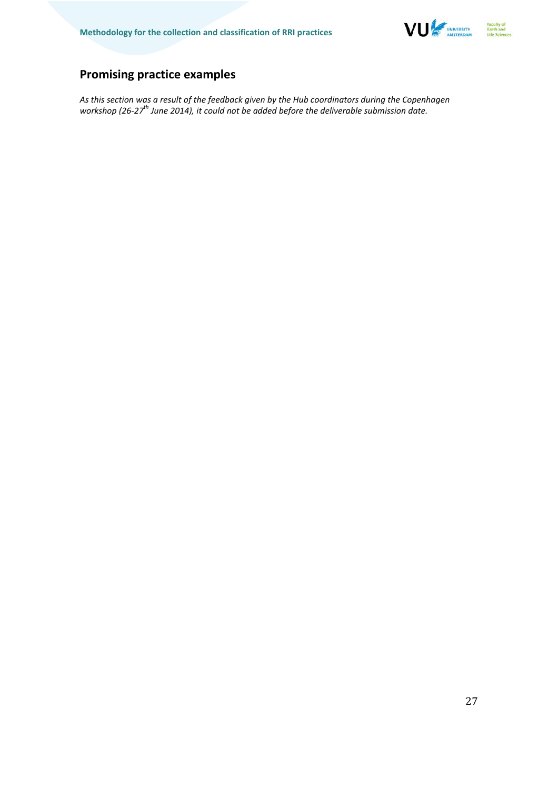

## **Promising practice examples**

*As this section was a result of the feedback given by the Hub coordinators during the Copenhagen*  workshop (26-27<sup>th</sup> June 2014), it could not be added before the deliverable submission date.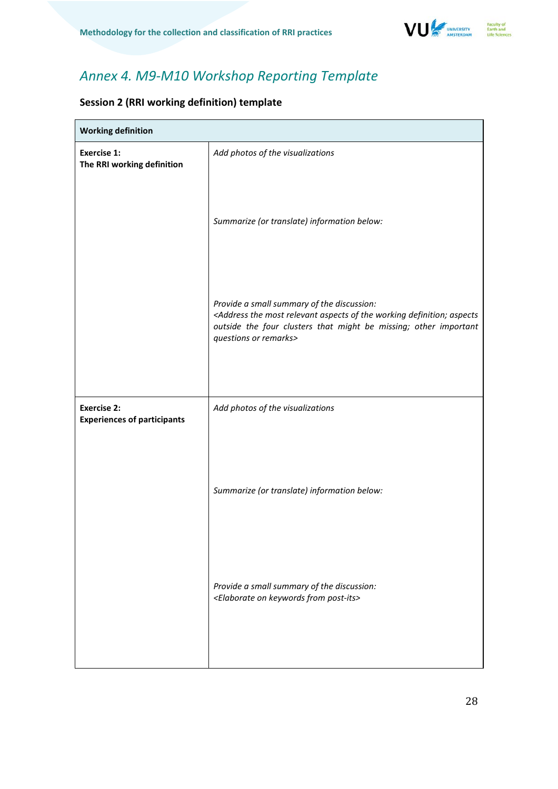

## *Annex 4. M9-M10 Workshop Reporting Template*

## **Session 2 (RRI working definition) template**

| <b>Working definition</b>                                |                                                                                                                                                                                                                                                    |  |
|----------------------------------------------------------|----------------------------------------------------------------------------------------------------------------------------------------------------------------------------------------------------------------------------------------------------|--|
| <b>Exercise 1:</b><br>The RRI working definition         | Add photos of the visualizations                                                                                                                                                                                                                   |  |
|                                                          | Summarize (or translate) information below:                                                                                                                                                                                                        |  |
|                                                          | Provide a small summary of the discussion:<br><address aspects="" aspects<br="" definition;="" most="" of="" relevant="" the="" working="">outside the four clusters that might be missing; other important<br/>questions or remarks&gt;</address> |  |
|                                                          |                                                                                                                                                                                                                                                    |  |
| <b>Exercise 2:</b><br><b>Experiences of participants</b> | Add photos of the visualizations                                                                                                                                                                                                                   |  |
|                                                          | Summarize (or translate) information below:                                                                                                                                                                                                        |  |
|                                                          | Provide a small summary of the discussion:<br><elaborate from="" keywords="" on="" post-its=""></elaborate>                                                                                                                                        |  |